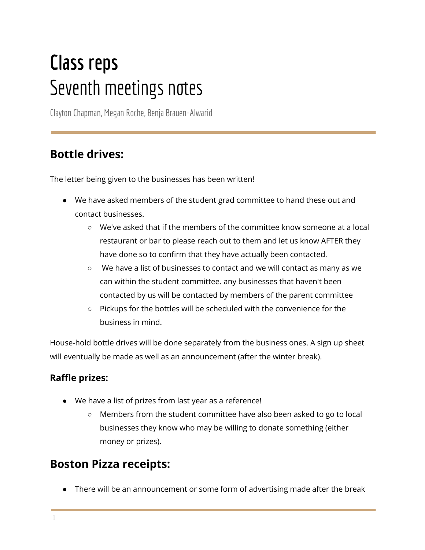# **Class reps** Seventh meetings notes

ClaytonChapman, Megan Roche, Benja Brauen-Alwarid

## **Bottle drives:**

The letter being given to the businesses has been written!

- We have asked members of the student grad committee to hand these out and contact businesses.
	- We've asked that if the members of the committee know someone at a local restaurant or bar to please reach out to them and let us know AFTER they have done so to confirm that they have actually been contacted.
	- $\circ$  We have a list of businesses to contact and we will contact as many as we can within the student committee. any businesses that haven't been contacted by us will be contacted by members of the parent committee
	- Pickups for the bottles will be scheduled with the convenience for the business in mind.

House-hold bottle drives will be done separately from the business ones. A sign up sheet will eventually be made as well as an announcement (after the winter break).

#### **Raffle prizes:**

- We have a list of prizes from last year as a reference!
	- Members from the student committee have also been asked to go to local businesses they know who may be willing to donate something (either money or prizes).

### **Boston Pizza receipts:**

● There will be an announcement or some form of advertising made after the break